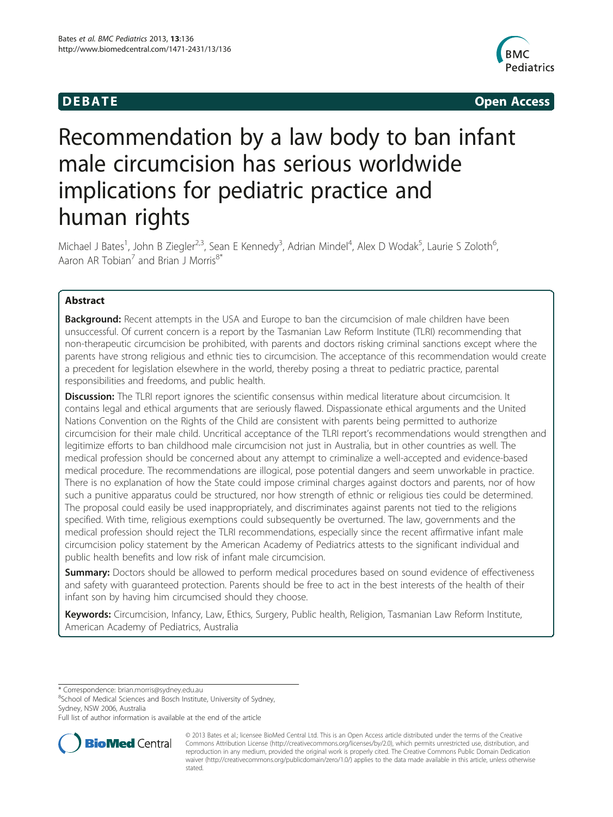

**DEBATE CONSIDERATE CONSIDERATE** 

# Recommendation by a law body to ban infant male circumcision has serious worldwide implications for pediatric practice and human rights

Michael J Bates<sup>1</sup>, John B Ziegler<sup>2,3</sup>, Sean E Kennedy<sup>3</sup>, Adrian Mindel<sup>4</sup>, Alex D Wodak<sup>5</sup>, Laurie S Zoloth<sup>6</sup> , Aaron AR Tobian<sup>7</sup> and Brian J Morris<sup>8\*</sup>

# Abstract

Background: Recent attempts in the USA and Europe to ban the circumcision of male children have been unsuccessful. Of current concern is a report by the Tasmanian Law Reform Institute (TLRI) recommending that non-therapeutic circumcision be prohibited, with parents and doctors risking criminal sanctions except where the parents have strong religious and ethnic ties to circumcision. The acceptance of this recommendation would create a precedent for legislation elsewhere in the world, thereby posing a threat to pediatric practice, parental responsibilities and freedoms, and public health.

**Discussion:** The TLRI report ignores the scientific consensus within medical literature about circumcision. It contains legal and ethical arguments that are seriously flawed. Dispassionate ethical arguments and the United Nations Convention on the Rights of the Child are consistent with parents being permitted to authorize circumcision for their male child. Uncritical acceptance of the TLRI report's recommendations would strengthen and legitimize efforts to ban childhood male circumcision not just in Australia, but in other countries as well. The medical profession should be concerned about any attempt to criminalize a well-accepted and evidence-based medical procedure. The recommendations are illogical, pose potential dangers and seem unworkable in practice. There is no explanation of how the State could impose criminal charges against doctors and parents, nor of how such a punitive apparatus could be structured, nor how strength of ethnic or religious ties could be determined. The proposal could easily be used inappropriately, and discriminates against parents not tied to the religions specified. With time, religious exemptions could subsequently be overturned. The law, governments and the medical profession should reject the TLRI recommendations, especially since the recent affirmative infant male circumcision policy statement by the American Academy of Pediatrics attests to the significant individual and public health benefits and low risk of infant male circumcision.

**Summary:** Doctors should be allowed to perform medical procedures based on sound evidence of effectiveness and safety with guaranteed protection. Parents should be free to act in the best interests of the health of their infant son by having him circumcised should they choose.

Keywords: Circumcision, Infancy, Law, Ethics, Surgery, Public health, Religion, Tasmanian Law Reform Institute, American Academy of Pediatrics, Australia

\* Correspondence: [brian.morris@sydney.edu.au](mailto:brian.morris@sydney.edu.au) <sup>8</sup>

<sup>8</sup>School of Medical Sciences and Bosch Institute, University of Sydney, Sydney, NSW 2006, Australia

Full list of author information is available at the end of the article



<sup>© 2013</sup> Bates et al.; licensee BioMed Central Ltd. This is an Open Access article distributed under the terms of the Creative Commons Attribution License [\(http://creativecommons.org/licenses/by/2.0\)](http://creativecommons.org/licenses/by/2.0), which permits unrestricted use, distribution, and reproduction in any medium, provided the original work is properly cited. The Creative Commons Public Domain Dedication waiver [\(http://creativecommons.org/publicdomain/zero/1.0/\)](http://creativecommons.org/publicdomain/zero/1.0/) applies to the data made available in this article, unless otherwise stated.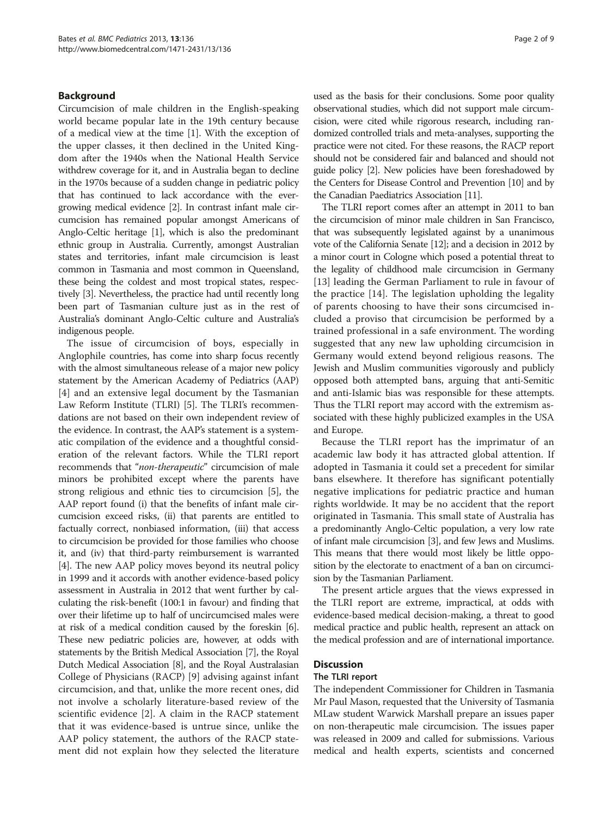# Background

Circumcision of male children in the English-speaking world became popular late in the 19th century because of a medical view at the time [\[1](#page-7-0)]. With the exception of the upper classes, it then declined in the United Kingdom after the 1940s when the National Health Service withdrew coverage for it, and in Australia began to decline in the 1970s because of a sudden change in pediatric policy that has continued to lack accordance with the evergrowing medical evidence [\[2\]](#page-7-0). In contrast infant male circumcision has remained popular amongst Americans of Anglo-Celtic heritage [\[1\]](#page-7-0), which is also the predominant ethnic group in Australia. Currently, amongst Australian states and territories, infant male circumcision is least common in Tasmania and most common in Queensland, these being the coldest and most tropical states, respectively [\[3](#page-7-0)]. Nevertheless, the practice had until recently long been part of Tasmanian culture just as in the rest of Australia's dominant Anglo-Celtic culture and Australia's indigenous people.

The issue of circumcision of boys, especially in Anglophile countries, has come into sharp focus recently with the almost simultaneous release of a major new policy statement by the American Academy of Pediatrics (AAP) [[4\]](#page-7-0) and an extensive legal document by the Tasmanian Law Reform Institute (TLRI) [[5](#page-7-0)]. The TLRI's recommendations are not based on their own independent review of the evidence. In contrast, the AAP's statement is a systematic compilation of the evidence and a thoughtful consideration of the relevant factors. While the TLRI report recommends that "non-therapeutic" circumcision of male minors be prohibited except where the parents have strong religious and ethnic ties to circumcision [\[5](#page-7-0)], the AAP report found (i) that the benefits of infant male circumcision exceed risks, (ii) that parents are entitled to factually correct, nonbiased information, (iii) that access to circumcision be provided for those families who choose it, and (iv) that third-party reimbursement is warranted [[4\]](#page-7-0). The new AAP policy moves beyond its neutral policy in 1999 and it accords with another evidence-based policy assessment in Australia in 2012 that went further by calculating the risk-benefit (100:1 in favour) and finding that over their lifetime up to half of uncircumcised males were at risk of a medical condition caused by the foreskin [[6](#page-7-0)]. These new pediatric policies are, however, at odds with statements by the British Medical Association [\[7](#page-7-0)], the Royal Dutch Medical Association [[8](#page-7-0)], and the Royal Australasian College of Physicians (RACP) [\[9](#page-7-0)] advising against infant circumcision, and that, unlike the more recent ones, did not involve a scholarly literature-based review of the scientific evidence [\[2](#page-7-0)]. A claim in the RACP statement that it was evidence-based is untrue since, unlike the AAP policy statement, the authors of the RACP statement did not explain how they selected the literature

used as the basis for their conclusions. Some poor quality observational studies, which did not support male circumcision, were cited while rigorous research, including randomized controlled trials and meta-analyses, supporting the practice were not cited. For these reasons, the RACP report should not be considered fair and balanced and should not guide policy [[2](#page-7-0)]. New policies have been foreshadowed by the Centers for Disease Control and Prevention [\[10](#page-7-0)] and by the Canadian Paediatrics Association [\[11\]](#page-7-0).

The TLRI report comes after an attempt in 2011 to ban the circumcision of minor male children in San Francisco, that was subsequently legislated against by a unanimous vote of the California Senate [[12\]](#page-7-0); and a decision in 2012 by a minor court in Cologne which posed a potential threat to the legality of childhood male circumcision in Germany [[13\]](#page-7-0) leading the German Parliament to rule in favour of the practice [\[14](#page-7-0)]. The legislation upholding the legality of parents choosing to have their sons circumcised included a proviso that circumcision be performed by a trained professional in a safe environment. The wording suggested that any new law upholding circumcision in Germany would extend beyond religious reasons. The Jewish and Muslim communities vigorously and publicly opposed both attempted bans, arguing that anti-Semitic and anti-Islamic bias was responsible for these attempts. Thus the TLRI report may accord with the extremism associated with these highly publicized examples in the USA and Europe.

Because the TLRI report has the imprimatur of an academic law body it has attracted global attention. If adopted in Tasmania it could set a precedent for similar bans elsewhere. It therefore has significant potentially negative implications for pediatric practice and human rights worldwide. It may be no accident that the report originated in Tasmania. This small state of Australia has a predominantly Anglo-Celtic population, a very low rate of infant male circumcision [[3](#page-7-0)], and few Jews and Muslims. This means that there would most likely be little opposition by the electorate to enactment of a ban on circumcision by the Tasmanian Parliament.

The present article argues that the views expressed in the TLRI report are extreme, impractical, at odds with evidence-based medical decision-making, a threat to good medical practice and public health, represent an attack on the medical profession and are of international importance.

# **Discussion**

# The TLRI report

The independent Commissioner for Children in Tasmania Mr Paul Mason, requested that the University of Tasmania MLaw student Warwick Marshall prepare an issues paper on non-therapeutic male circumcision. The issues paper was released in 2009 and called for submissions. Various medical and health experts, scientists and concerned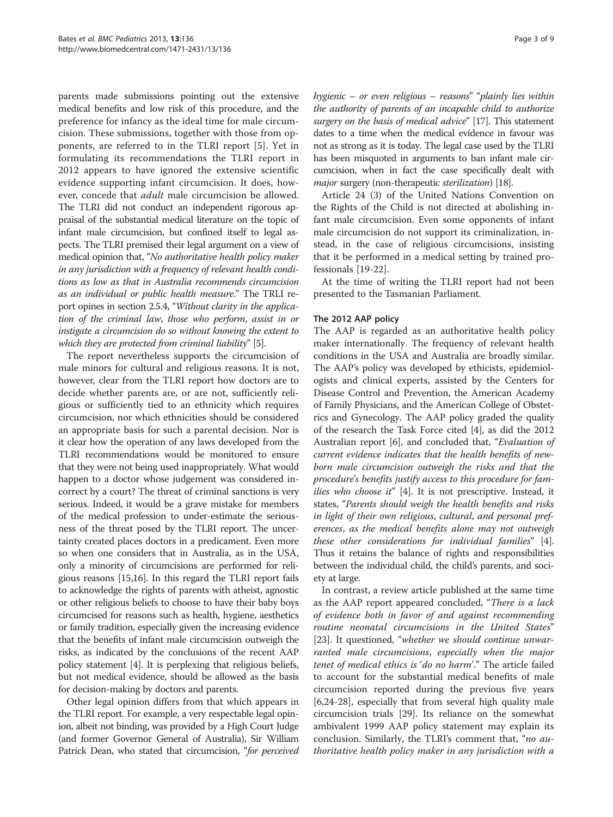parents made submissions pointing out the extensive medical benefits and low risk of this procedure, and the preference for infancy as the ideal time for male circumcision. These submissions, together with those from opponents, are referred to in the TLRI report [[5](#page-7-0)]. Yet in formulating its recommendations the TLRI report in 2012 appears to have ignored the extensive scientific evidence supporting infant circumcision. It does, however, concede that adult male circumcision be allowed. The TLRI did not conduct an independent rigorous appraisal of the substantial medical literature on the topic of infant male circumcision, but confined itself to legal aspects. The TLRI premised their legal argument on a view of medical opinion that, "No authoritative health policy maker in any jurisdiction with a frequency of relevant health conditions as low as that in Australia recommends circumcision as an individual or public health measure." The TRLI report opines in section 2.5.4, "Without clarity in the application of the criminal law, those who perform, assist in or instigate a circumcision do so without knowing the extent to which they are protected from criminal liability" [\[5\]](#page-7-0).

The report nevertheless supports the circumcision of male minors for cultural and religious reasons. It is not, however, clear from the TLRI report how doctors are to decide whether parents are, or are not, sufficiently religious or sufficiently tied to an ethnicity which requires circumcision, nor which ethnicities should be considered an appropriate basis for such a parental decision. Nor is it clear how the operation of any laws developed from the TLRI recommendations would be monitored to ensure that they were not being used inappropriately. What would happen to a doctor whose judgement was considered incorrect by a court? The threat of criminal sanctions is very serious. Indeed, it would be a grave mistake for members of the medical profession to under-estimate the seriousness of the threat posed by the TLRI report. The uncertainty created places doctors in a predicament. Even more so when one considers that in Australia, as in the USA, only a minority of circumcisions are performed for religious reasons [[15,16\]](#page-7-0). In this regard the TLRI report fails to acknowledge the rights of parents with atheist, agnostic or other religious beliefs to choose to have their baby boys circumcised for reasons such as health, hygiene, aesthetics or family tradition, especially given the increasing evidence that the benefits of infant male circumcision outweigh the risks, as indicated by the conclusions of the recent AAP policy statement [\[4](#page-7-0)]. It is perplexing that religious beliefs, but not medical evidence, should be allowed as the basis for decision-making by doctors and parents.

Other legal opinion differs from that which appears in the TLRI report. For example, a very respectable legal opinion, albeit not binding, was provided by a High Court Judge (and former Governor General of Australia), Sir William Patrick Dean, who stated that circumcision, "for perceived

hygienic – or even religious – reasons" "plainly lies within the authority of parents of an incapable child to authorize surgery on the basis of medical advice" [\[17\]](#page-7-0). This statement dates to a time when the medical evidence in favour was not as strong as it is today. The legal case used by the TLRI has been misquoted in arguments to ban infant male circumcision, when in fact the case specifically dealt with major surgery (non-therapeutic sterilization) [\[18\]](#page-7-0).

Article 24 (3) of the United Nations Convention on the Rights of the Child is not directed at abolishing infant male circumcision. Even some opponents of infant male circumcision do not support its criminalization, instead, in the case of religious circumcisions, insisting that it be performed in a medical setting by trained professionals [[19](#page-7-0)-[22\]](#page-7-0).

At the time of writing the TLRI report had not been presented to the Tasmanian Parliament.

## The 2012 AAP policy

The AAP is regarded as an authoritative health policy maker internationally. The frequency of relevant health conditions in the USA and Australia are broadly similar. The AAP's policy was developed by ethicists, epidemiologists and clinical experts, assisted by the Centers for Disease Control and Prevention, the American Academy of Family Physicians, and the American College of Obstetrics and Gynecology. The AAP policy graded the quality of the research the Task Force cited [[4](#page-7-0)], as did the 2012 Australian report [[6](#page-7-0)], and concluded that, "Evaluation of current evidence indicates that the health benefits of newborn male circumcision outweigh the risks and that the procedure's benefits justify access to this procedure for fam-ilies who choose it" [[4](#page-7-0)]. It is not prescriptive. Instead, it states, "Parents should weigh the health benefits and risks in light of their own religious, cultural, and personal preferences, as the medical benefits alone may not outweigh these other considerations for individual families" [[4](#page-7-0)]. Thus it retains the balance of rights and responsibilities between the individual child, the child's parents, and society at large.

In contrast, a review article published at the same time as the AAP report appeared concluded, "There is a lack of evidence both in favor of and against recommending routine neonatal circumcisions in the United States" [[23\]](#page-7-0). It questioned, "whether we should continue unwarranted male circumcisions, especially when the major tenet of medical ethics is 'do no harm'." The article failed to account for the substantial medical benefits of male circumcision reported during the previous five years [[6,24-28](#page-7-0)], especially that from several high quality male circumcision trials [[29\]](#page-7-0). Its reliance on the somewhat ambivalent 1999 AAP policy statement may explain its conclusion. Similarly, the TLRI's comment that, "no authoritative health policy maker in any jurisdiction with a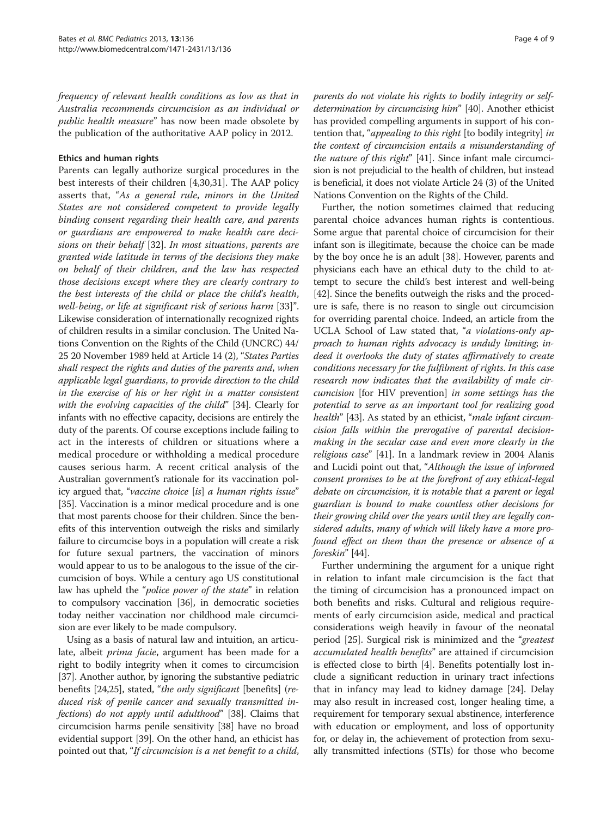frequency of relevant health conditions as low as that in Australia recommends circumcision as an individual or public health measure" has now been made obsolete by the publication of the authoritative AAP policy in 2012.

### Ethics and human rights

Parents can legally authorize surgical procedures in the best interests of their children [\[4,30,31\]](#page-7-0). The AAP policy asserts that, "As a general rule, minors in the United States are not considered competent to provide legally binding consent regarding their health care, and parents or guardians are empowered to make health care decisions on their behalf [\[32](#page-7-0)]. In most situations, parents are granted wide latitude in terms of the decisions they make on behalf of their children, and the law has respected those decisions except where they are clearly contrary to the best interests of the child or place the child's health, well-being, or life at significant risk of serious harm [[33\]](#page-7-0)". Likewise consideration of internationally recognized rights of children results in a similar conclusion. The United Nations Convention on the Rights of the Child (UNCRC) 44/ 25 20 November 1989 held at Article 14 (2), "States Parties shall respect the rights and duties of the parents and, when applicable legal guardians, to provide direction to the child in the exercise of his or her right in a matter consistent with the evolving capacities of the child" [\[34\]](#page-7-0). Clearly for infants with no effective capacity, decisions are entirely the duty of the parents. Of course exceptions include failing to act in the interests of children or situations where a medical procedure or withholding a medical procedure causes serious harm. A recent critical analysis of the Australian government's rationale for its vaccination policy argued that, "vaccine choice [is] a human rights issue" [[35](#page-7-0)]. Vaccination is a minor medical procedure and is one that most parents choose for their children. Since the benefits of this intervention outweigh the risks and similarly failure to circumcise boys in a population will create a risk for future sexual partners, the vaccination of minors would appear to us to be analogous to the issue of the circumcision of boys. While a century ago US constitutional law has upheld the "police power of the state" in relation to compulsory vaccination [\[36\]](#page-7-0), in democratic societies today neither vaccination nor childhood male circumcision are ever likely to be made compulsory.

Using as a basis of natural law and intuition, an articulate, albeit *prima facie*, argument has been made for a right to bodily integrity when it comes to circumcision [[37](#page-8-0)]. Another author, by ignoring the substantive pediatric benefits [\[24,25\]](#page-7-0), stated, "the only significant [benefits] (reduced risk of penile cancer and sexually transmitted infections) do not apply until adulthood" [\[38\]](#page-8-0). Claims that circumcision harms penile sensitivity [[38](#page-8-0)] have no broad evidential support [[39](#page-8-0)]. On the other hand, an ethicist has pointed out that, "If circumcision is a net benefit to a child, parents do not violate his rights to bodily integrity or selfdetermination by circumcising him" [\[40\]](#page-8-0). Another ethicist has provided compelling arguments in support of his contention that, "appealing to this right [to bodily integrity] in the context of circumcision entails a misunderstanding of the nature of this right" [\[41](#page-8-0)]. Since infant male circumcision is not prejudicial to the health of children, but instead is beneficial, it does not violate Article 24 (3) of the United Nations Convention on the Rights of the Child.

Further, the notion sometimes claimed that reducing parental choice advances human rights is contentious. Some argue that parental choice of circumcision for their infant son is illegitimate, because the choice can be made by the boy once he is an adult [\[38\]](#page-8-0). However, parents and physicians each have an ethical duty to the child to attempt to secure the child's best interest and well-being [[42](#page-8-0)]. Since the benefits outweigh the risks and the procedure is safe, there is no reason to single out circumcision for overriding parental choice. Indeed, an article from the UCLA School of Law stated that, "a violations-only approach to human rights advocacy is unduly limiting; indeed it overlooks the duty of states affirmatively to create conditions necessary for the fulfilment of rights. In this case research now indicates that the availability of male circumcision [for HIV prevention] in some settings has the potential to serve as an important tool for realizing good health" [\[43](#page-8-0)]. As stated by an ethicist, "male infant circumcision falls within the prerogative of parental decisionmaking in the secular case and even more clearly in the religious case" [\[41](#page-8-0)]. In a landmark review in 2004 Alanis and Lucidi point out that, "Although the issue of informed consent promises to be at the forefront of any ethical-legal debate on circumcision, it is notable that a parent or legal guardian is bound to make countless other decisions for their growing child over the years until they are legally considered adults, many of which will likely have a more profound effect on them than the presence or absence of a foreskin" [\[44\]](#page-8-0).

Further undermining the argument for a unique right in relation to infant male circumcision is the fact that the timing of circumcision has a pronounced impact on both benefits and risks. Cultural and religious requirements of early circumcision aside, medical and practical considerations weigh heavily in favour of the neonatal period [[25\]](#page-7-0). Surgical risk is minimized and the "greatest accumulated health benefits" are attained if circumcision is effected close to birth [\[4](#page-7-0)]. Benefits potentially lost include a significant reduction in urinary tract infections that in infancy may lead to kidney damage [\[24\]](#page-7-0). Delay may also result in increased cost, longer healing time, a requirement for temporary sexual abstinence, interference with education or employment, and loss of opportunity for, or delay in, the achievement of protection from sexually transmitted infections (STIs) for those who become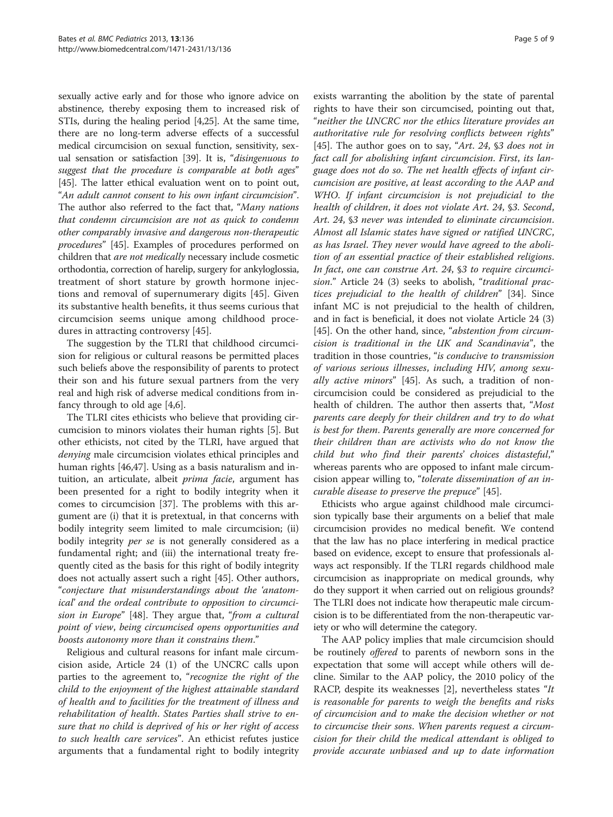sexually active early and for those who ignore advice on abstinence, thereby exposing them to increased risk of STIs, during the healing period [[4,25](#page-7-0)]. At the same time, there are no long-term adverse effects of a successful medical circumcision on sexual function, sensitivity, sexual sensation or satisfaction [[39](#page-8-0)]. It is, "disingenuous to suggest that the procedure is comparable at both ages" [[45](#page-8-0)]. The latter ethical evaluation went on to point out, "An adult cannot consent to his own infant circumcision". The author also referred to the fact that, "Many nations that condemn circumcision are not as quick to condemn other comparably invasive and dangerous non-therapeutic procedures" [\[45](#page-8-0)]. Examples of procedures performed on children that are not medically necessary include cosmetic orthodontia, correction of harelip, surgery for ankyloglossia, treatment of short stature by growth hormone injections and removal of supernumerary digits [[45\]](#page-8-0). Given its substantive health benefits, it thus seems curious that circumcision seems unique among childhood procedures in attracting controversy [\[45](#page-8-0)].

The suggestion by the TLRI that childhood circumcision for religious or cultural reasons be permitted places such beliefs above the responsibility of parents to protect their son and his future sexual partners from the very real and high risk of adverse medical conditions from infancy through to old age [\[4,6](#page-7-0)].

The TLRI cites ethicists who believe that providing circumcision to minors violates their human rights [[5\]](#page-7-0). But other ethicists, not cited by the TLRI, have argued that denying male circumcision violates ethical principles and human rights [[46,47](#page-8-0)]. Using as a basis naturalism and intuition, an articulate, albeit *prima facie*, argument has been presented for a right to bodily integrity when it comes to circumcision [[37\]](#page-8-0). The problems with this argument are (i) that it is pretextual, in that concerns with bodily integrity seem limited to male circumcision; (ii) bodily integrity *per se* is not generally considered as a fundamental right; and (iii) the international treaty frequently cited as the basis for this right of bodily integrity does not actually assert such a right [[45](#page-8-0)]. Other authors, "conjecture that misunderstandings about the 'anatomical' and the ordeal contribute to opposition to circumci-sion in Europe" [[48\]](#page-8-0). They argue that, "from a cultural point of view, being circumcised opens opportunities and boosts autonomy more than it constrains them."

Religious and cultural reasons for infant male circumcision aside, Article 24 (1) of the UNCRC calls upon parties to the agreement to, "recognize the right of the child to the enjoyment of the highest attainable standard of health and to facilities for the treatment of illness and rehabilitation of health. States Parties shall strive to ensure that no child is deprived of his or her right of access to such health care services". An ethicist refutes justice arguments that a fundamental right to bodily integrity

exists warranting the abolition by the state of parental rights to have their son circumcised, pointing out that, "neither the UNCRC nor the ethics literature provides an authoritative rule for resolving conflicts between rights" [[45\]](#page-8-0). The author goes on to say, "Art. 24, \$3 does not in fact call for abolishing infant circumcision. First, its language does not do so. The net health effects of infant circumcision are positive, at least according to the AAP and WHO. If infant circumcision is not prejudicial to the health of children, it does not violate Art. 24, §3. Second, Art. 24, §3 never was intended to eliminate circumcision. Almost all Islamic states have signed or ratified UNCRC, as has Israel. They never would have agreed to the abolition of an essential practice of their established religions. In fact, one can construe Art. 24, §3 to require circumcision." Article 24 (3) seeks to abolish, "traditional practices prejudicial to the health of children" [\[34](#page-7-0)]. Since infant MC is not prejudicial to the health of children, and in fact is beneficial, it does not violate Article 24 (3) [[45\]](#page-8-0). On the other hand, since, "abstention from circumcision is traditional in the UK and Scandinavia", the tradition in those countries, "is conducive to transmission of various serious illnesses, including HIV, among sexually active minors" [[45](#page-8-0)]. As such, a tradition of noncircumcision could be considered as prejudicial to the health of children. The author then asserts that, "Most parents care deeply for their children and try to do what is best for them. Parents generally are more concerned for their children than are activists who do not know the child but who find their parents' choices distasteful," whereas parents who are opposed to infant male circumcision appear willing to, "tolerate dissemination of an incurable disease to preserve the prepuce" [[45](#page-8-0)].

Ethicists who argue against childhood male circumcision typically base their arguments on a belief that male circumcision provides no medical benefit. We contend that the law has no place interfering in medical practice based on evidence, except to ensure that professionals always act responsibly. If the TLRI regards childhood male circumcision as inappropriate on medical grounds, why do they support it when carried out on religious grounds? The TLRI does not indicate how therapeutic male circumcision is to be differentiated from the non-therapeutic variety or who will determine the category.

The AAP policy implies that male circumcision should be routinely *offered* to parents of newborn sons in the expectation that some will accept while others will decline. Similar to the AAP policy, the 2010 policy of the RACP, despite its weaknesses [\[2](#page-7-0)], nevertheless states "It is reasonable for parents to weigh the benefits and risks of circumcision and to make the decision whether or not to circumcise their sons. When parents request a circumcision for their child the medical attendant is obliged to provide accurate unbiased and up to date information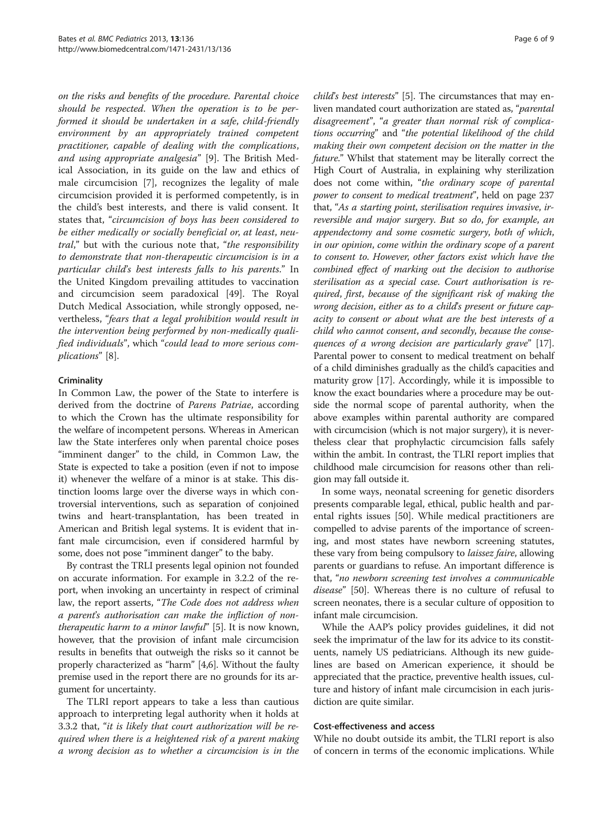on the risks and benefits of the procedure. Parental choice should be respected. When the operation is to be performed it should be undertaken in a safe, child-friendly environment by an appropriately trained competent practitioner, capable of dealing with the complications, and using appropriate analgesia" [[9\]](#page-7-0). The British Medical Association, in its guide on the law and ethics of male circumcision [\[7](#page-7-0)], recognizes the legality of male circumcision provided it is performed competently, is in the child's best interests, and there is valid consent. It states that, "circumcision of boys has been considered to be either medically or socially beneficial or, at least, neutral," but with the curious note that, "the responsibility to demonstrate that non-therapeutic circumcision is in a particular child's best interests falls to his parents." In the United Kingdom prevailing attitudes to vaccination and circumcision seem paradoxical [[49\]](#page-8-0). The Royal Dutch Medical Association, while strongly opposed, nevertheless, "fears that a legal prohibition would result in the intervention being performed by non-medically qualified individuals", which "could lead to more serious complications" [[8](#page-7-0)].

# **Criminality**

In Common Law, the power of the State to interfere is derived from the doctrine of Parens Patriae, according to which the Crown has the ultimate responsibility for the welfare of incompetent persons. Whereas in American law the State interferes only when parental choice poses "imminent danger" to the child, in Common Law, the State is expected to take a position (even if not to impose it) whenever the welfare of a minor is at stake. This distinction looms large over the diverse ways in which controversial interventions, such as separation of conjoined twins and heart-transplantation, has been treated in American and British legal systems. It is evident that infant male circumcision, even if considered harmful by some, does not pose "imminent danger" to the baby.

By contrast the TRLI presents legal opinion not founded on accurate information. For example in 3.2.2 of the report, when invoking an uncertainty in respect of criminal law, the report asserts, "The Code does not address when a parent's authorisation can make the infliction of nontherapeutic harm to a minor lawful" [\[5](#page-7-0)]. It is now known, however, that the provision of infant male circumcision results in benefits that outweigh the risks so it cannot be properly characterized as "harm" [\[4,6](#page-7-0)]. Without the faulty premise used in the report there are no grounds for its argument for uncertainty.

The TLRI report appears to take a less than cautious approach to interpreting legal authority when it holds at 3.3.2 that, "it is likely that court authorization will be required when there is a heightened risk of a parent making a wrong decision as to whether a circumcision is in the

child's best interests" [[5\]](#page-7-0). The circumstances that may enliven mandated court authorization are stated as, "parental disagreement", "a greater than normal risk of complications occurring" and "the potential likelihood of the child making their own competent decision on the matter in the future." Whilst that statement may be literally correct the High Court of Australia, in explaining why sterilization does not come within, "the ordinary scope of parental power to consent to medical treatment", held on page 237 that, "As a starting point, sterilisation requires invasive, irreversible and major surgery. But so do, for example, an appendectomy and some cosmetic surgery, both of which, in our opinion, come within the ordinary scope of a parent to consent to. However, other factors exist which have the combined effect of marking out the decision to authorise sterilisation as a special case. Court authorisation is required, first, because of the significant risk of making the wrong decision, either as to a child's present or future capacity to consent or about what are the best interests of a child who cannot consent, and secondly, because the consequences of a wrong decision are particularly grave" [[17](#page-7-0)]. Parental power to consent to medical treatment on behalf of a child diminishes gradually as the child's capacities and maturity grow [\[17](#page-7-0)]. Accordingly, while it is impossible to know the exact boundaries where a procedure may be outside the normal scope of parental authority, when the above examples within parental authority are compared with circumcision (which is not major surgery), it is nevertheless clear that prophylactic circumcision falls safely within the ambit. In contrast, the TLRI report implies that childhood male circumcision for reasons other than religion may fall outside it.

In some ways, neonatal screening for genetic disorders presents comparable legal, ethical, public health and parental rights issues [[50\]](#page-8-0). While medical practitioners are compelled to advise parents of the importance of screening, and most states have newborn screening statutes, these vary from being compulsory to laissez faire, allowing parents or guardians to refuse. An important difference is that, "no newborn screening test involves a communicable disease" [[50\]](#page-8-0). Whereas there is no culture of refusal to screen neonates, there is a secular culture of opposition to infant male circumcision.

While the AAP's policy provides guidelines, it did not seek the imprimatur of the law for its advice to its constituents, namely US pediatricians. Although its new guidelines are based on American experience, it should be appreciated that the practice, preventive health issues, culture and history of infant male circumcision in each jurisdiction are quite similar.

#### Cost-effectiveness and access

While no doubt outside its ambit, the TLRI report is also of concern in terms of the economic implications. While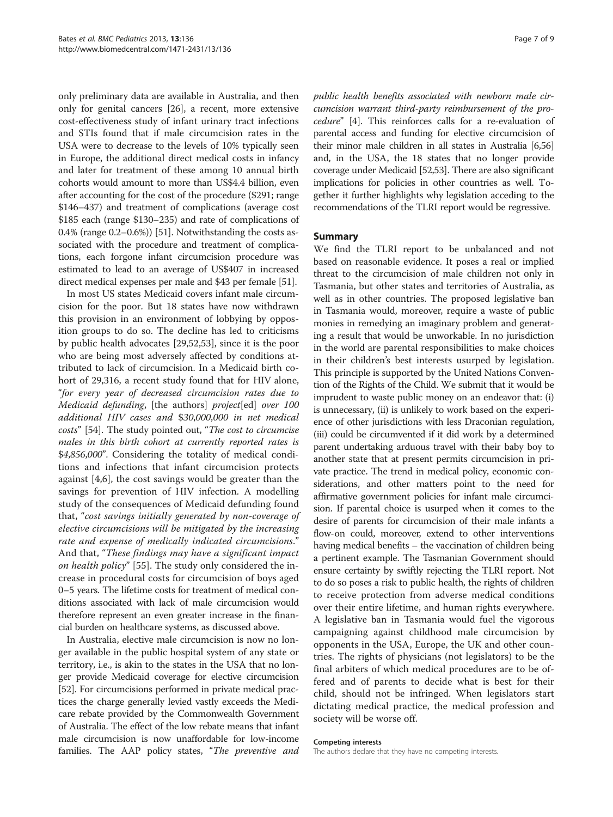only preliminary data are available in Australia, and then only for genital cancers [[26](#page-7-0)], a recent, more extensive cost-effectiveness study of infant urinary tract infections and STIs found that if male circumcision rates in the USA were to decrease to the levels of 10% typically seen in Europe, the additional direct medical costs in infancy and later for treatment of these among 10 annual birth cohorts would amount to more than US\$4.4 billion, even after accounting for the cost of the procedure (\$291; range \$146–437) and treatment of complications (average cost \$185 each (range \$130–235) and rate of complications of 0.4% (range 0.2–0.6%)) [[51](#page-8-0)]. Notwithstanding the costs associated with the procedure and treatment of complications, each forgone infant circumcision procedure was estimated to lead to an average of US\$407 in increased direct medical expenses per male and \$43 per female [[51](#page-8-0)].

In most US states Medicaid covers infant male circumcision for the poor. But 18 states have now withdrawn this provision in an environment of lobbying by opposition groups to do so. The decline has led to criticisms by public health advocates [\[29](#page-7-0)[,52,53](#page-8-0)], since it is the poor who are being most adversely affected by conditions attributed to lack of circumcision. In a Medicaid birth cohort of 29,316, a recent study found that for HIV alone, "for every year of decreased circumcision rates due to Medicaid defunding, [the authors] project[ed] over 100 additional HIV cases and \$30,000,000 in net medical costs" [[54](#page-8-0)]. The study pointed out, "The cost to circumcise males in this birth cohort at currently reported rates is \$4,856,000". Considering the totality of medical conditions and infections that infant circumcision protects against [\[4,6](#page-7-0)], the cost savings would be greater than the savings for prevention of HIV infection. A modelling study of the consequences of Medicaid defunding found that, "cost savings initially generated by non-coverage of elective circumcisions will be mitigated by the increasing rate and expense of medically indicated circumcisions." And that, "These findings may have a significant impact on health policy" [\[55](#page-8-0)]. The study only considered the increase in procedural costs for circumcision of boys aged 0–5 years. The lifetime costs for treatment of medical conditions associated with lack of male circumcision would therefore represent an even greater increase in the financial burden on healthcare systems, as discussed above.

In Australia, elective male circumcision is now no longer available in the public hospital system of any state or territory, i.e., is akin to the states in the USA that no longer provide Medicaid coverage for elective circumcision [[52](#page-8-0)]. For circumcisions performed in private medical practices the charge generally levied vastly exceeds the Medicare rebate provided by the Commonwealth Government of Australia. The effect of the low rebate means that infant male circumcision is now unaffordable for low-income families. The AAP policy states, "The preventive and public health benefits associated with newborn male circumcision warrant third-party reimbursement of the procedure" [\[4](#page-7-0)]. This reinforces calls for a re-evaluation of parental access and funding for elective circumcision of their minor male children in all states in Australia [\[6,](#page-7-0)[56](#page-8-0)] and, in the USA, the 18 states that no longer provide coverage under Medicaid [\[52,53\]](#page-8-0). There are also significant implications for policies in other countries as well. Together it further highlights why legislation acceding to the recommendations of the TLRI report would be regressive.

# Summary

We find the TLRI report to be unbalanced and not based on reasonable evidence. It poses a real or implied threat to the circumcision of male children not only in Tasmania, but other states and territories of Australia, as well as in other countries. The proposed legislative ban in Tasmania would, moreover, require a waste of public monies in remedying an imaginary problem and generating a result that would be unworkable. In no jurisdiction in the world are parental responsibilities to make choices in their children's best interests usurped by legislation. This principle is supported by the United Nations Convention of the Rights of the Child. We submit that it would be imprudent to waste public money on an endeavor that: (i) is unnecessary, (ii) is unlikely to work based on the experience of other jurisdictions with less Draconian regulation, (iii) could be circumvented if it did work by a determined parent undertaking arduous travel with their baby boy to another state that at present permits circumcision in private practice. The trend in medical policy, economic considerations, and other matters point to the need for affirmative government policies for infant male circumcision. If parental choice is usurped when it comes to the desire of parents for circumcision of their male infants a flow-on could, moreover, extend to other interventions having medical benefits – the vaccination of children being a pertinent example. The Tasmanian Government should ensure certainty by swiftly rejecting the TLRI report. Not to do so poses a risk to public health, the rights of children to receive protection from adverse medical conditions over their entire lifetime, and human rights everywhere. A legislative ban in Tasmania would fuel the vigorous campaigning against childhood male circumcision by opponents in the USA, Europe, the UK and other countries. The rights of physicians (not legislators) to be the final arbiters of which medical procedures are to be offered and of parents to decide what is best for their child, should not be infringed. When legislators start dictating medical practice, the medical profession and society will be worse off.

#### Competing interests

The authors declare that they have no competing interests.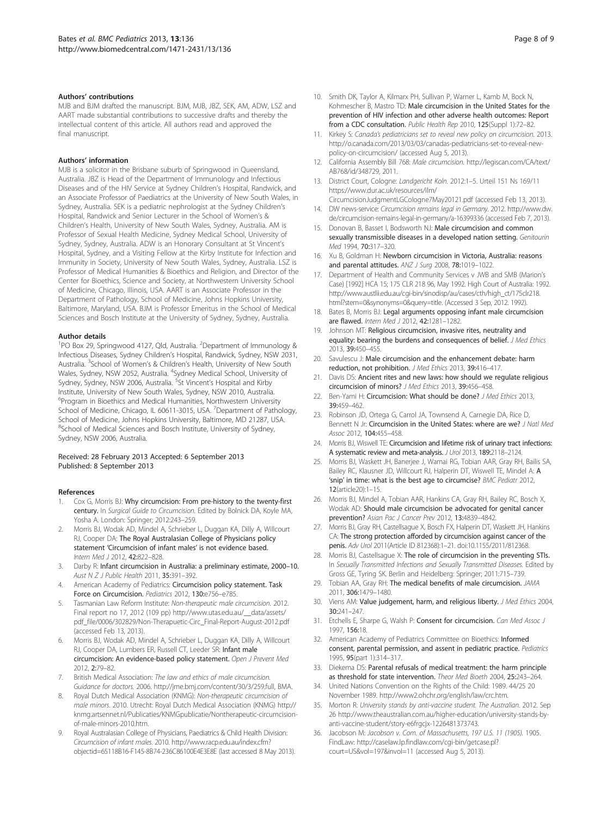#### <span id="page-7-0"></span>Authors' contributions

MJB and BJM drafted the manuscript. BJM, MJB, JBZ, SEK, AM, ADW, LSZ and AART made substantial contributions to successive drafts and thereby the intellectual content of this article. All authors read and approved the final manuscript.

#### Authors' information

MJB is a solicitor in the Brisbane suburb of Springwood in Queensland, Australia. JBZ is Head of the Department of Immunology and Infectious Diseases and of the HIV Service at Sydney Children's Hospital, Randwick, and an Associate Professor of Paediatrics at the University of New South Wales, in Sydney, Australia. SEK is a pediatric nephrologist at the Sydney Children's Hospital, Randwick and Senior Lecturer in the School of Women's & Children's Health, University of New South Wales, Sydney, Australia. AM is Professor of Sexual Health Medicine, Sydney Medical School, University of Sydney, Sydney, Australia. ADW is an Honorary Consultant at St Vincent's Hospital, Sydney, and a Visiting Fellow at the Kirby Institute for Infection and Immunity in Society, University of New South Wales, Sydney, Australia. LSZ is Professor of Medical Humanities & Bioethics and Religion, and Director of the Center for Bioethics, Science and Society, at Northwestern University School of Medicine, Chicago, Illinois, USA. AART is an Associate Professor in the Department of Pathology, School of Medicine, Johns Hopkins University, Baltimore, Maryland, USA. BJM is Professor Emeritus in the School of Medical Sciences and Bosch Institute at the University of Sydney, Sydney, Australia.

#### Author details

<sup>1</sup>PO Box 29, Springwood 4127, Qld, Australia. <sup>2</sup>Department of Immunology & Infectious Diseases, Sydney Children's Hospital, Randwick, Sydney, NSW 2031, Australia. <sup>3</sup> School of Women's & Children's Health, University of New South Wales, Sydney, NSW 2052, Australia. <sup>4</sup>Sydney Medical School, University of Sydney, Sydney, NSW 2006, Australia. <sup>5</sup>St Vincent's Hospital and Kirby Institute, University of New South Wales, Sydney, NSW 2010, Australia. 6 Program in Bioethics and Medical Humanities, Northwestern University School of Medicine, Chicago, IL 60611-3015, USA. <sup>7</sup>Department of Pathology, School of Medicine, Johns Hopkins University, Baltimore, MD 21287, USA. <sup>8</sup>School of Medical Sciences and Bosch Institute, University of Sydney, Sydney, NSW 2006, Australia.

#### Received: 28 February 2013 Accepted: 6 September 2013 Published: 8 September 2013

#### References

- 1. Cox G, Morris BJ: Why circumcision: From pre-history to the twenty-first century. In Surgical Guide to Circumcision. Edited by Bolnick DA, Koyle MA, Yosha A. London: Springer; 2012:243–259.
- 2. Morris BJ, Wodak AD, Mindel A, Schrieber L, Duggan KA, Dilly A, Willcourt RJ, Cooper DA: The Royal Australasian College of Physicians policy statement 'Circumcision of infant males' is not evidence based. Intern Med J 2012, 42:822–828.
- 3. Darby R: Infant circumcision in Australia: a preliminary estimate, 2000–10. Aust N Z J Public Health 2011, 35:391–392.
- 4. American Academy of Pediatrics: Circumcision policy statement. Task Force on Circumcision. Pediatrics 2012, 130:e756–e785.
- Tasmanian Law Reform Institute: Non-therapeutic male circumcision. 2012. Final report no 17, 2012 (109 pp) [http://www.utas.edu.au/\\_\\_data/assets/](http://www.utas.edu.au/__data/assets/pdf_file/0006/302829/Non-Therapuetic-Circ_Final-Report-August-2012.pdf) [pdf\\_file/0006/302829/Non-Therapuetic-Circ\\_Final-Report-August-2012.pdf](http://www.utas.edu.au/__data/assets/pdf_file/0006/302829/Non-Therapuetic-Circ_Final-Report-August-2012.pdf) (accessed Feb 13, 2013).
- 6. Morris BJ, Wodak AD, Mindel A, Schrieber L, Duggan KA, Dilly A, Willcourt RJ, Cooper DA, Lumbers ER, Russell CT, Leeder SR: Infant male circumcision: An evidence-based policy statement. Open J Prevent Med 2012, 2:79–82.
- 7. British Medical Association: The law and ethics of male circumcision. Guidance for doctors. 2006. [http://jme.bmj.com/content/30/3/259.full,](http://jme.bmj.com/content/30/3/259.full) BMA.
- 8. Royal Dutch Medical Association (KNMG): Non-therapeutic circumcision of male minors. 2010. Utrecht: Royal Dutch Medical Association (KNMG) [http://](http://knmg.artsennet.nl/Publicaties/KNMGpublicatie/Nontherapeutic-circumcision-of-male-minors-2010.htm) [knmg.artsennet.nl/Publicaties/KNMGpublicatie/Nontherapeutic-circumcision](http://knmg.artsennet.nl/Publicaties/KNMGpublicatie/Nontherapeutic-circumcision-of-male-minors-2010.htm)[of-male-minors-2010.htm](http://knmg.artsennet.nl/Publicaties/KNMGpublicatie/Nontherapeutic-circumcision-of-male-minors-2010.htm).
- Royal Australasian College of Physicians, Paediatrics & Child Health Division: Circumcision of infant males. 2010. [http://www.racp.edu.au/index.cfm?](http://www.racp.edu.au/index.cfm?objectid=65118B16-F145-8B74-236C86100E4E3E8E) [objectid=65118B16-F145-8B74-236C86100E4E3E8E](http://www.racp.edu.au/index.cfm?objectid=65118B16-F145-8B74-236C86100E4E3E8E) (last accessed 8 May 2013).
- 10. Smith DK, Taylor A, Kilmarx PH, Sullivan P, Warner L, Kamb M, Bock N, Kohmescher B, Mastro TD: Male circumcision in the United States for the prevention of HIV infection and other adverse health outcomes: Report from a CDC consultation. Public Health Rep 2010, 125(Suppl 1):72-82.
- 11. Kirkey S: Canada's pediatricians set to reveal new policy on circumcision. 2013. [http://o.canada.com/2013/03/03/canadas-pediatricians-set-to-reveal-new](http://o.canada.com/2013/03/03/canadas-pediatricians-set-to-reveal-new-policy-on-circumcision/)[policy-on-circumcision/](http://o.canada.com/2013/03/03/canadas-pediatricians-set-to-reveal-new-policy-on-circumcision/) (accessed Aug 5, 2013).
- 12. California Assembly Bill 768: Male circumcision. [http://legiscan.com/CA/text/](http://legiscan.com/CA/text/AB768/id/348729) [AB768/id/348729](http://legiscan.com/CA/text/AB768/id/348729), 2011.
- 13. District Court, Cologne: Landgericht Koln. 2012:1–5. Urteil 151 Ns 169/11 [https://www.dur.ac.uk/resources/ilm/](https://www.dur.ac.uk/resources/ilm/CircumcisionJudgmentLGCologne7May20121.pdf)
- [CircumcisionJudgmentLGCologne7May20121.pdf](https://www.dur.ac.uk/resources/ilm/CircumcisionJudgmentLGCologne7May20121.pdf) (accessed Feb 13, 2013). 14. DW news-service: Circumcision remains legal in Germany. 2012. [http://www.dw.](http://www.dw.de/circumcision-remains-legal-in-germany/a-16399336)
- [de/circumcision-remains-legal-in-germany/a-16399336](http://www.dw.de/circumcision-remains-legal-in-germany/a-16399336) (accessed Feb 7, 2013). 15. Donovan B, Basset I, Bodsworth NJ: Male circumcision and common
- sexually transmissible diseases in a developed nation setting. Genitourin Med 1994, 70:317–320.
- 16. Xu B, Goldman H: Newborn circumcision in Victoria, Australia: reasons and parental attitudes. ANZ J Surg 2008, 78:1019-1022.
- 17. Department of Health and Community Services v JWB and SMB (Marion's Case) [1992] HCA 15; 175 CLR 218 96, May 1992. High Court of Australia: 1992. [http://www.austlii.edu.au/cgi-bin/sinodisp/au/cases/cth/high\\_ct/175clr218.](http://www.austlii.edu.au/cgi-bin/sinodisp/au/cases/cth/high_ct/175clr218.html?stem=0&synonyms=0&query=title) [html?stem=0&synonyms=0&query=title](http://www.austlii.edu.au/cgi-bin/sinodisp/au/cases/cth/high_ct/175clr218.html?stem=0&synonyms=0&query=title). (Accessed 3 Sep, 2012. 1992).
- 18. Bates B, Morris BJ: Legal arguments opposing infant male circumcision are flawed. Intern Med J 2012, 42:1281–1282.
- 19. Johnson MT: Religious circumcision, invasive rites, neutrality and equality: bearing the burdens and consequences of belief. J Med Ethics 2013, 39:450–455.
- 20. Savulescu J: Male circumcision and the enhancement debate: harm reduction, not prohibition. J Med Ethics 2013, 39:416–417.
- 21. Davis DS: Ancient rites and new laws: how should we regulate religious circumcision of minors? J Med Ethics 2013, 39:456–458.
- 22. Ben-Yami H: Circumcision: What should be done? J Med Ethics 2013, 39:459–462.
- 23. Robinson JD, Ortega G, Carrol JA, Townsend A, Carnegie DA, Rice D, Bennett N Jr: Circumcision in the United States: where are we? J Natl Med Assoc 2012, 104:455–458.
- 24. Morris BJ, Wiswell TE: Circumcision and lifetime risk of urinary tract infections: A systematic review and meta-analysis. J Urol 2013, 189:2118–2124.
- 25. Morris BJ, Waskett JH, Banerjee J, Wamai RG, Tobian AAR, Gray RH, Bailis SA, Bailey RC, Klausner JD, Willcourt RJ, Halperin DT, Wiswell TE, Mindel A: A 'snip' in time: what is the best age to circumcise? BMC Pediatr 2012, 12(article20):1–15.
- 26. Morris BJ, Mindel A, Tobian AAR, Hankins CA, Gray RH, Bailey RC, Bosch X, Wodak AD: Should male circumcision be advocated for genital cancer prevention? Asian Pac J Cancer Prev 2012, 13:4839–4842.
- 27. Morris BJ, Gray RH, Castellsague X, Bosch FX, Halperin DT, Waskett JH, Hankins CA: The strong protection afforded by circumcision against cancer of the penis. Adv Urol 2011(Article ID 812368):1–21. doi:10.1155/2011/812368.
- 28. Morris BJ, Castellsague X: The role of circumcision in the preventing STIs. In Sexually Transmitted Infections and Sexually Transmitted Diseases. Edited by Gross GE, Tyring SK. Berlin and Heidelberg: Springer; 2011:715–739.
- 29. Tobian AA, Gray RH: The medical benefits of male circumcision. JAMA 2011, 306:1479–1480.
- 30. Viens AM: Value judgement, harm, and religious liberty. J Med Ethics 2004, 30:241–247.
- 31. Etchells E, Sharpe G, Walsh P: Consent for circumcision. Can Med Assoc J 1997, 156:18.
- 32. American Academy of Pediatrics Committee on Bioethics: Informed consent, parental permission, and assent in pediatric practice. Pediatrics 1995, 95(part 1):314–317.
- 33. Diekema DS: Parental refusals of medical treatment: the harm principle as threshold for state intervention. Theor Med Bioeth 2004, 25:243–264.
- 34. United Nations Convention on the Rights of the Child: 1989. 44/25 20 November 1989. [http://www2.ohchr.org/english/law/crc.htm.](http://www2.ohchr.org/english/law/crc.htm)
- 35. Morton R: University stands by anti-vaccine student. The Australian. 2012. Sep 26 [http://www.theaustralian.com.au/higher-education/university-stands-by](http://www.theaustralian.com.au/higher-education/university-stands-by-anti-vaccine-student/story-e6frgcjx-1226481373743)[anti-vaccine-student/story-e6frgcjx-1226481373743](http://www.theaustralian.com.au/higher-education/university-stands-by-anti-vaccine-student/story-e6frgcjx-1226481373743).
- 36. Jacobson M: Jacobson v. Com. of Massachusetts, 197 U.S. 11 (1905). 1905. FindLaw: [http://caselaw.lp.findlaw.com/cgi-bin/getcase.pl?](http://caselaw.lp.findlaw.com/cgi-bin/getcase.pl?court=US&vol=197&invol=11) [court=US&vol=197&invol=11](http://caselaw.lp.findlaw.com/cgi-bin/getcase.pl?court=US&vol=197&invol=11) (accessed Aug 5, 2013).